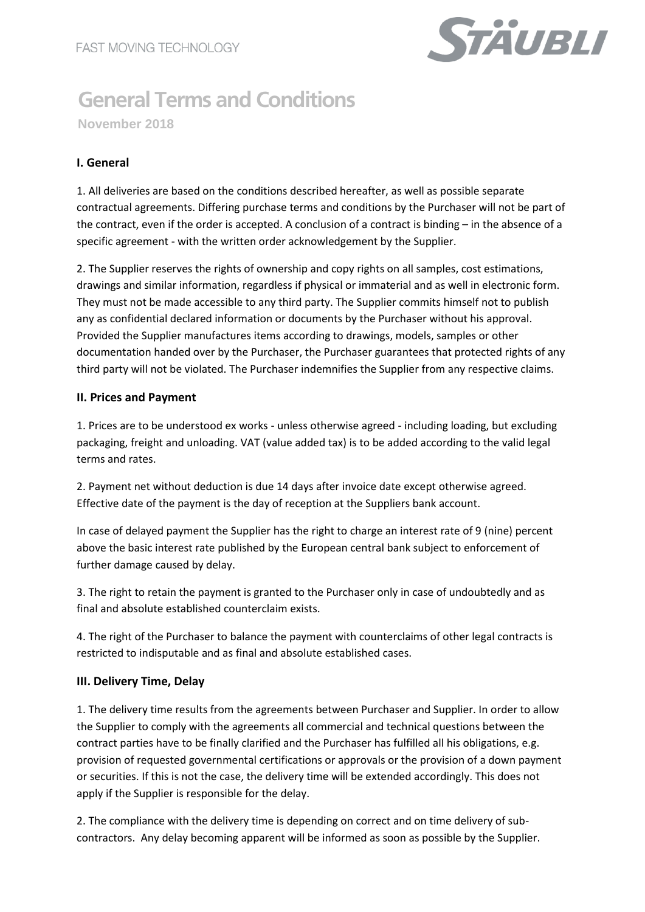

# **General Terms and Conditions**

**November 2018**

# **I. General**

1. All deliveries are based on the conditions described hereafter, as well as possible separate contractual agreements. Differing purchase terms and conditions by the Purchaser will not be part of the contract, even if the order is accepted. A conclusion of a contract is binding – in the absence of a specific agreement - with the written order acknowledgement by the Supplier.

2. The Supplier reserves the rights of ownership and copy rights on all samples, cost estimations, drawings and similar information, regardless if physical or immaterial and as well in electronic form. They must not be made accessible to any third party. The Supplier commits himself not to publish any as confidential declared information or documents by the Purchaser without his approval. Provided the Supplier manufactures items according to drawings, models, samples or other documentation handed over by the Purchaser, the Purchaser guarantees that protected rights of any third party will not be violated. The Purchaser indemnifies the Supplier from any respective claims.

# **II. Prices and Payment**

1. Prices are to be understood ex works - unless otherwise agreed - including loading, but excluding packaging, freight and unloading. VAT (value added tax) is to be added according to the valid legal terms and rates.

2. Payment net without deduction is due 14 days after invoice date except otherwise agreed. Effective date of the payment is the day of reception at the Suppliers bank account.

In case of delayed payment the Supplier has the right to charge an interest rate of 9 (nine) percent above the basic interest rate published by the European central bank subject to enforcement of further damage caused by delay.

3. The right to retain the payment is granted to the Purchaser only in case of undoubtedly and as final and absolute established counterclaim exists.

4. The right of the Purchaser to balance the payment with counterclaims of other legal contracts is restricted to indisputable and as final and absolute established cases.

# **III. Delivery Time, Delay**

1. The delivery time results from the agreements between Purchaser and Supplier. In order to allow the Supplier to comply with the agreements all commercial and technical questions between the contract parties have to be finally clarified and the Purchaser has fulfilled all his obligations, e.g. provision of requested governmental certifications or approvals or the provision of a down payment or securities. If this is not the case, the delivery time will be extended accordingly. This does not apply if the Supplier is responsible for the delay.

2. The compliance with the delivery time is depending on correct and on time delivery of subcontractors. Any delay becoming apparent will be informed as soon as possible by the Supplier.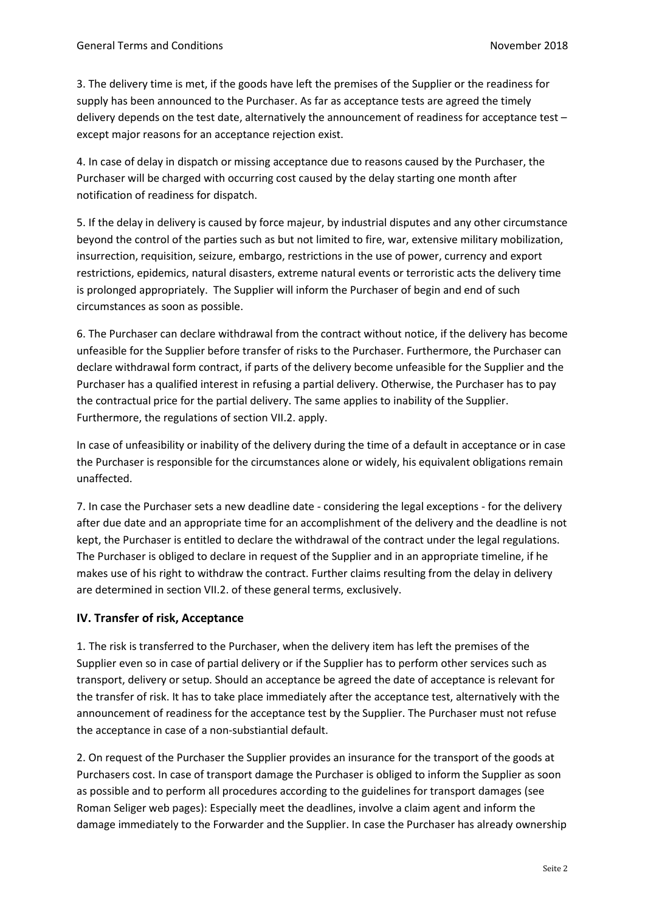3. The delivery time is met, if the goods have left the premises of the Supplier or the readiness for supply has been announced to the Purchaser. As far as acceptance tests are agreed the timely delivery depends on the test date, alternatively the announcement of readiness for acceptance test – except major reasons for an acceptance rejection exist.

4. In case of delay in dispatch or missing acceptance due to reasons caused by the Purchaser, the Purchaser will be charged with occurring cost caused by the delay starting one month after notification of readiness for dispatch.

5. If the delay in delivery is caused by force majeur, by industrial disputes and any other circumstance beyond the control of the parties such as but not limited to fire, war, extensive military mobilization, insurrection, requisition, seizure, embargo, restrictions in the use of power, currency and export restrictions, epidemics, natural disasters, extreme natural events or terroristic acts the delivery time is prolonged appropriately. The Supplier will inform the Purchaser of begin and end of such circumstances as soon as possible.

6. The Purchaser can declare withdrawal from the contract without notice, if the delivery has become unfeasible for the Supplier before transfer of risks to the Purchaser. Furthermore, the Purchaser can declare withdrawal form contract, if parts of the delivery become unfeasible for the Supplier and the Purchaser has a qualified interest in refusing a partial delivery. Otherwise, the Purchaser has to pay the contractual price for the partial delivery. The same applies to inability of the Supplier. Furthermore, the regulations of section VII.2. apply.

In case of unfeasibility or inability of the delivery during the time of a default in acceptance or in case the Purchaser is responsible for the circumstances alone or widely, his equivalent obligations remain unaffected.

7. In case the Purchaser sets a new deadline date - considering the legal exceptions - for the delivery after due date and an appropriate time for an accomplishment of the delivery and the deadline is not kept, the Purchaser is entitled to declare the withdrawal of the contract under the legal regulations. The Purchaser is obliged to declare in request of the Supplier and in an appropriate timeline, if he makes use of his right to withdraw the contract. Further claims resulting from the delay in delivery are determined in section VII.2. of these general terms, exclusively.

# **IV. Transfer of risk, Acceptance**

1. The risk is transferred to the Purchaser, when the delivery item has left the premises of the Supplier even so in case of partial delivery or if the Supplier has to perform other services such as transport, delivery or setup. Should an acceptance be agreed the date of acceptance is relevant for the transfer of risk. It has to take place immediately after the acceptance test, alternatively with the announcement of readiness for the acceptance test by the Supplier. The Purchaser must not refuse the acceptance in case of a non-substiantial default.

2. On request of the Purchaser the Supplier provides an insurance for the transport of the goods at Purchasers cost. In case of transport damage the Purchaser is obliged to inform the Supplier as soon as possible and to perform all procedures according to the guidelines for transport damages (see Roman Seliger web pages): Especially meet the deadlines, involve a claim agent and inform the damage immediately to the Forwarder and the Supplier. In case the Purchaser has already ownership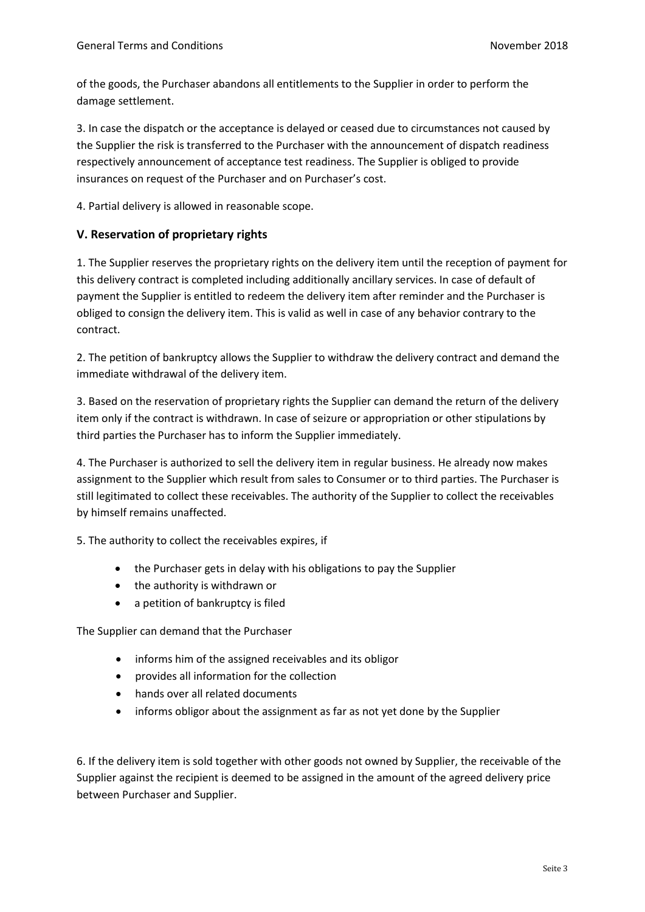of the goods, the Purchaser abandons all entitlements to the Supplier in order to perform the damage settlement.

3. In case the dispatch or the acceptance is delayed or ceased due to circumstances not caused by the Supplier the risk is transferred to the Purchaser with the announcement of dispatch readiness respectively announcement of acceptance test readiness. The Supplier is obliged to provide insurances on request of the Purchaser and on Purchaser's cost.

4. Partial delivery is allowed in reasonable scope.

#### **V. Reservation of proprietary rights**

1. The Supplier reserves the proprietary rights on the delivery item until the reception of payment for this delivery contract is completed including additionally ancillary services. In case of default of payment the Supplier is entitled to redeem the delivery item after reminder and the Purchaser is obliged to consign the delivery item. This is valid as well in case of any behavior contrary to the contract.

2. The petition of bankruptcy allows the Supplier to withdraw the delivery contract and demand the immediate withdrawal of the delivery item.

3. Based on the reservation of proprietary rights the Supplier can demand the return of the delivery item only if the contract is withdrawn. In case of seizure or appropriation or other stipulations by third parties the Purchaser has to inform the Supplier immediately.

4. The Purchaser is authorized to sell the delivery item in regular business. He already now makes assignment to the Supplier which result from sales to Consumer or to third parties. The Purchaser is still legitimated to collect these receivables. The authority of the Supplier to collect the receivables by himself remains unaffected.

5. The authority to collect the receivables expires, if

- the Purchaser gets in delay with his obligations to pay the Supplier
- the authority is withdrawn or
- a petition of bankruptcy is filed

The Supplier can demand that the Purchaser

- informs him of the assigned receivables and its obligor
- provides all information for the collection
- hands over all related documents
- informs obligor about the assignment as far as not yet done by the Supplier

6. If the delivery item is sold together with other goods not owned by Supplier, the receivable of the Supplier against the recipient is deemed to be assigned in the amount of the agreed delivery price between Purchaser and Supplier.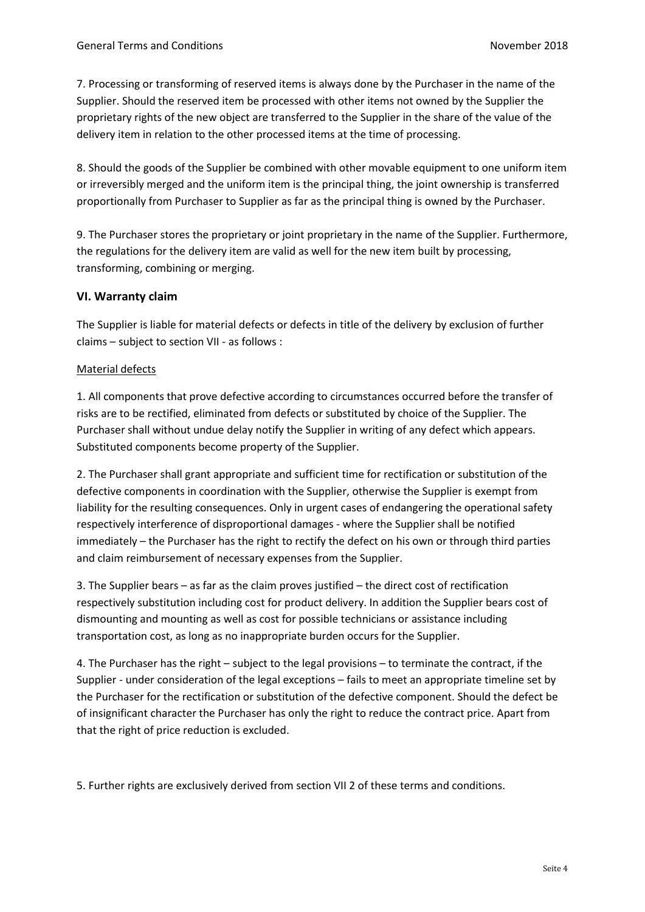7. Processing or transforming of reserved items is always done by the Purchaser in the name of the Supplier. Should the reserved item be processed with other items not owned by the Supplier the proprietary rights of the new object are transferred to the Supplier in the share of the value of the delivery item in relation to the other processed items at the time of processing.

8. Should the goods of the Supplier be combined with other movable equipment to one uniform item or irreversibly merged and the uniform item is the principal thing, the joint ownership is transferred proportionally from Purchaser to Supplier as far as the principal thing is owned by the Purchaser.

9. The Purchaser stores the proprietary or joint proprietary in the name of the Supplier. Furthermore, the regulations for the delivery item are valid as well for the new item built by processing, transforming, combining or merging.

#### **VI. Warranty claim**

The Supplier is liable for material defects or defects in title of the delivery by exclusion of further claims – subject to section VII - as follows :

#### Material defects

1. All components that prove defective according to circumstances occurred before the transfer of risks are to be rectified, eliminated from defects or substituted by choice of the Supplier. The Purchaser shall without undue delay notify the Supplier in writing of any defect which appears. Substituted components become property of the Supplier.

2. The Purchaser shall grant appropriate and sufficient time for rectification or substitution of the defective components in coordination with the Supplier, otherwise the Supplier is exempt from liability for the resulting consequences. Only in urgent cases of endangering the operational safety respectively interference of disproportional damages - where the Supplier shall be notified immediately – the Purchaser has the right to rectify the defect on his own or through third parties and claim reimbursement of necessary expenses from the Supplier.

3. The Supplier bears – as far as the claim proves justified – the direct cost of rectification respectively substitution including cost for product delivery. In addition the Supplier bears cost of dismounting and mounting as well as cost for possible technicians or assistance including transportation cost, as long as no inappropriate burden occurs for the Supplier.

4. The Purchaser has the right – subject to the legal provisions – to terminate the contract, if the Supplier - under consideration of the legal exceptions – fails to meet an appropriate timeline set by the Purchaser for the rectification or substitution of the defective component. Should the defect be of insignificant character the Purchaser has only the right to reduce the contract price. Apart from that the right of price reduction is excluded.

5. Further rights are exclusively derived from section VII 2 of these terms and conditions.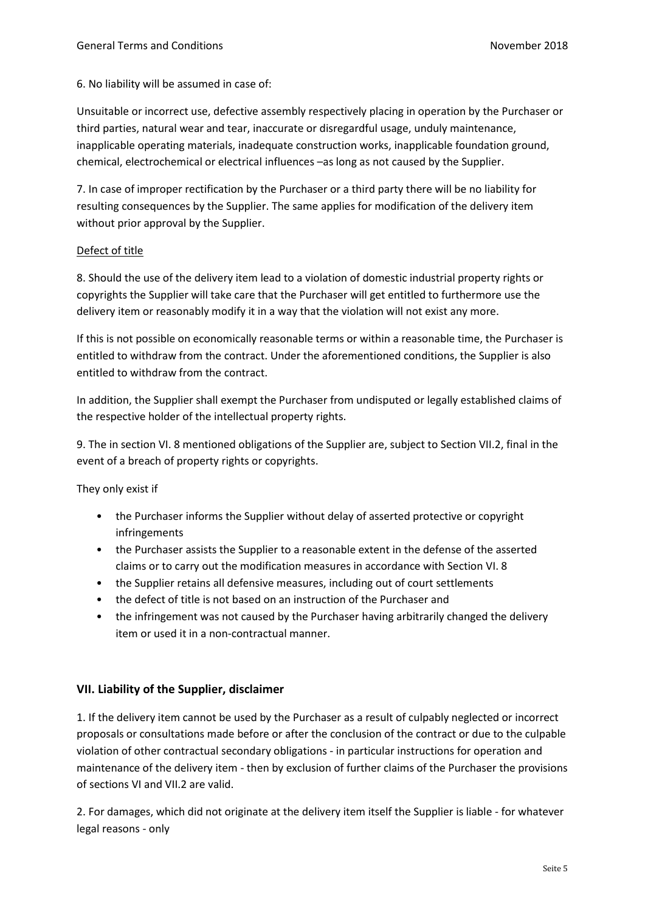6. No liability will be assumed in case of:

Unsuitable or incorrect use, defective assembly respectively placing in operation by the Purchaser or third parties, natural wear and tear, inaccurate or disregardful usage, unduly maintenance, inapplicable operating materials, inadequate construction works, inapplicable foundation ground, chemical, electrochemical or electrical influences –as long as not caused by the Supplier.

7. In case of improper rectification by the Purchaser or a third party there will be no liability for resulting consequences by the Supplier. The same applies for modification of the delivery item without prior approval by the Supplier.

#### Defect of title

8. Should the use of the delivery item lead to a violation of domestic industrial property rights or copyrights the Supplier will take care that the Purchaser will get entitled to furthermore use the delivery item or reasonably modify it in a way that the violation will not exist any more.

If this is not possible on economically reasonable terms or within a reasonable time, the Purchaser is entitled to withdraw from the contract. Under the aforementioned conditions, the Supplier is also entitled to withdraw from the contract.

In addition, the Supplier shall exempt the Purchaser from undisputed or legally established claims of the respective holder of the intellectual property rights.

9. The in section VI. 8 mentioned obligations of the Supplier are, subject to Section VII.2, final in the event of a breach of property rights or copyrights.

They only exist if

- the Purchaser informs the Supplier without delay of asserted protective or copyright infringements
- the Purchaser assists the Supplier to a reasonable extent in the defense of the asserted claims or to carry out the modification measures in accordance with Section VI. 8
- the Supplier retains all defensive measures, including out of court settlements
- the defect of title is not based on an instruction of the Purchaser and
- the infringement was not caused by the Purchaser having arbitrarily changed the delivery item or used it in a non-contractual manner.

#### **VII. Liability of the Supplier, disclaimer**

1. If the delivery item cannot be used by the Purchaser as a result of culpably neglected or incorrect proposals or consultations made before or after the conclusion of the contract or due to the culpable violation of other contractual secondary obligations - in particular instructions for operation and maintenance of the delivery item - then by exclusion of further claims of the Purchaser the provisions of sections VI and VII.2 are valid.

2. For damages, which did not originate at the delivery item itself the Supplier is liable - for whatever legal reasons - only